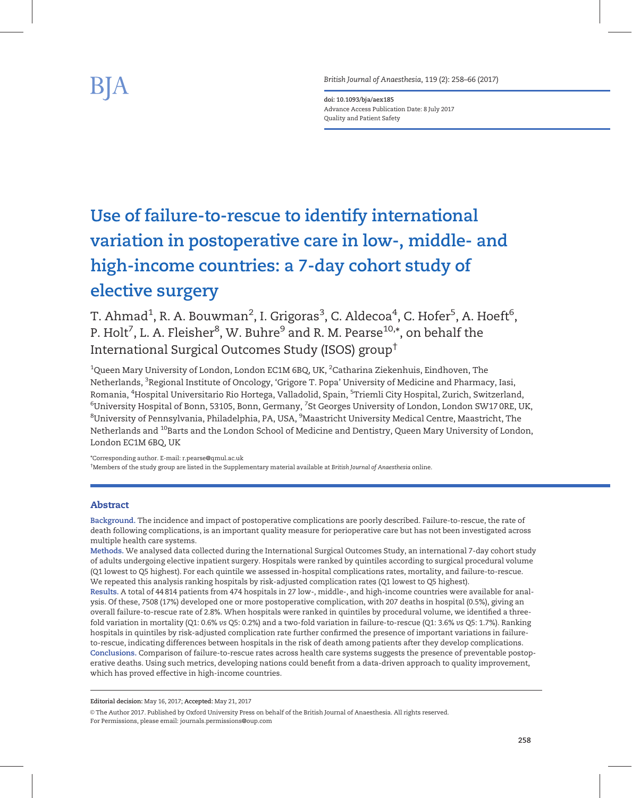British Journal of Anaesthesia, 119 (2): 258–66 (2017)

doi: 10.1093/bja/aex185 Advance Access Publication Date: 8 July 2017 Quality and Patient Safety

# Use of failure-to-rescue to identify international variation in postoperative care in low-, middle- and high-income countries: a 7-day cohort study of elective surgery

T. Ahmad $^1$ , R. A. Bouwman $^2$ , I. Grigoras $^3$ , C. Aldecoa $^4$ , C. Hofer $^5$ , A. Hoeft $^6$ , P. Holt<sup>7</sup>, L. A. Fleisher<sup>8</sup>, W. Buhre<sup>9</sup> and R. M. Pearse<sup>10,</sup>\*, on behalf the International Surgical Outcomes Study (ISOS) group†

 $^{\rm 1}$ Queen Mary University of London, London EC1M 6BQ, UK,  $^{\rm 2}$ Catharina Ziekenhuis, Eindhoven, The Netherlands, <sup>3</sup>Regional Institute of Oncology, 'Grigore T. Popa' University of Medicine and Pharmacy, Iasi, Romania, <sup>4</sup>Hospital Universitario Rio Hortega, Valladolid, Spain, <sup>5</sup>Triemli City Hospital, Zurich, Switzerland,  $^6$ University Hospital of Bonn, 53105, Bonn, Germany,  $^7$ St Georges University of London, London SW17 0RE, UK,  $^8$ University of Pennsylvania, Philadelphia, PA, USA,  $^9$ Maastricht University Medical Centre, Maastricht, The Netherlands and <sup>10</sup>Barts and the London School of Medicine and Dentistry, Queen Mary University of London, London EC1M 6BQ, UK

\*Corresponding author. E-mail: r.pearse@qmul.ac.uk

† Members of the study group are listed in the Supplementary material available at British Journal of Anaesthesia online.

# Abstract

Background. The incidence and impact of postoperative complications are poorly described. Failure-to-rescue, the rate of death following complications, is an important quality measure for perioperative care but has not been investigated across multiple health care systems.

Methods. We analysed data collected during the International Surgical Outcomes Study, an international 7-day cohort study of adults undergoing elective inpatient surgery. Hospitals were ranked by quintiles according to surgical procedural volume (Q1 lowest to Q5 highest). For each quintile we assessed in-hospital complications rates, mortality, and failure-to-rescue. We repeated this analysis ranking hospitals by risk-adjusted complication rates (Q1 lowest to Q5 highest).

Results. A total of 44 814 patients from 474 hospitals in 27 low-, middle-, and high-income countries were available for analysis. Of these, 7508 (17%) developed one or more postoperative complication, with 207 deaths in hospital (0.5%), giving an overall failure-to-rescue rate of 2.8%. When hospitals were ranked in quintiles by procedural volume, we identified a threefold variation in mortality (Q1: 0.6% vs Q5: 0.2%) and a two-fold variation in failure-to-rescue (Q1: 3.6% vs Q5: 1.7%). Ranking hospitals in quintiles by risk-adjusted complication rate further confirmed the presence of important variations in failureto-rescue, indicating differences between hospitals in the risk of death among patients after they develop complications. Conclusions. Comparison of failure-to-rescue rates across health care systems suggests the presence of preventable postoperative deaths. Using such metrics, developing nations could benefit from a data-driven approach to quality improvement, which has proved effective in high-income countries.

Editorial decision: May 16, 2017; Accepted: May 21, 2017

 $\circ$  The Author 2017. Published by Oxford University Press on behalf of the British Journal of Anaesthesia. All rights reserved. For Permissions, please email: journals.permissions@oup.com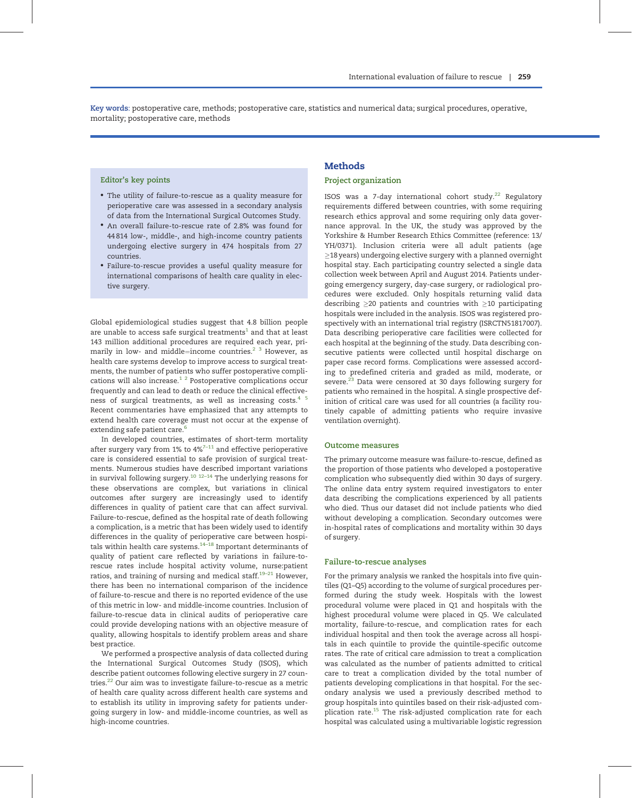Key words: postoperative care, methods; postoperative care, statistics and numerical data; surgical procedures, operative, mortality; postoperative care, methods

# Editor's key points

- The utility of failure-to-rescue as a quality measure for perioperative care was assessed in a secondary analysis of data from the International Surgical Outcomes Study.
- An overall failure-to-rescue rate of 2.8% was found for 44 814 low-, middle-, and high-income country patients undergoing elective surgery in 474 hospitals from 27 countries.
- Failure-to-rescue provides a useful quality measure for international comparisons of health care quality in elective surgery.

Global epidemiological studies suggest that 4.8 billion people are unable to access safe surgical treatments<sup>1</sup> and that at least 143 million additional procedures are required each year, primarily in low- and middle=income countries.<sup>2</sup> <sup>3</sup> However, as health care systems develop to improve access to surgical treatments, the number of patients who suffer postoperative complications will also increase.1 2 Postoperative complications occur frequently and can lead to death or reduce the clinical effectiveness of surgical treatments, as well as increasing costs.<sup>45</sup> Recent commentaries have emphasized that any attempts to extend health care coverage must not occur at the expense of extending safe patient care.<sup>6</sup>

In developed countries, estimates of short-term mortality after surgery vary from 1% to  $4\%$ <sup>7-11</sup> and effective perioperative care is considered essential to safe provision of surgical treatments. Numerous studies have described important variations in survival following surgery.10 12–14 The underlying reasons for these observations are complex, but variations in clinical outcomes after surgery are increasingly used to identify differences in quality of patient care that can affect survival. Failure-to-rescue, defined as the hospital rate of death following a complication, is a metric that has been widely used to identify differences in the quality of perioperative care between hospitals within health care systems. $14-18$  Important determinants of quality of patient care reflected by variations in failure-torescue rates include hospital activity volume, nurse:patient ratios, and training of nursing and medical staff.<sup>19-21</sup> However, there has been no international comparison of the incidence of failure-to-rescue and there is no reported evidence of the use of this metric in low- and middle-income countries. Inclusion of failure-to-rescue data in clinical audits of perioperative care could provide developing nations with an objective measure of quality, allowing hospitals to identify problem areas and share best practice.

We performed a prospective analysis of data collected during the International Surgical Outcomes Study (ISOS), which describe patient outcomes following elective surgery in 27 countries.<sup>22</sup> Our aim was to investigate failure-to-rescue as a metric of health care quality across different health care systems and to establish its utility in improving safety for patients undergoing surgery in low- and middle-income countries, as well as high-income countries.

# Methods

# Project organization

ISOS was a 7-day international cohort study.<sup>22</sup> Regulatory requirements differed between countries, with some requiring research ethics approval and some requiring only data governance approval. In the UK, the study was approved by the Yorkshire & Humber Research Ethics Committee (reference: 13/ YH/0371). Inclusion criteria were all adult patients (age  $\ge$ 18 years) undergoing elective surgery with a planned overnight hospital stay. Each participating country selected a single data collection week between April and August 2014. Patients undergoing emergency surgery, day-case surgery, or radiological procedures were excluded. Only hospitals returning valid data describing  $\geq$ 20 patients and countries with  $\geq$ 10 participating hospitals were included in the analysis. ISOS was registered prospectively with an international trial registry (ISRCTN51817007). Data describing perioperative care facilities were collected for each hospital at the beginning of the study. Data describing consecutive patients were collected until hospital discharge on paper case record forms. Complications were assessed according to predefined criteria and graded as mild, moderate, or severe. $^{23}$  Data were censored at 30 days following surgery for patients who remained in the hospital. A single prospective definition of critical care was used for all countries (a facility routinely capable of admitting patients who require invasive ventilation overnight).

#### Outcome measures

The primary outcome measure was failure-to-rescue, defined as the proportion of those patients who developed a postoperative complication who subsequently died within 30 days of surgery. The online data entry system required investigators to enter data describing the complications experienced by all patients who died. Thus our dataset did not include patients who died without developing a complication. Secondary outcomes were in-hospital rates of complications and mortality within 30 days of surgery.

#### Failure-to-rescue analyses

For the primary analysis we ranked the hospitals into five quintiles (Q1–Q5) according to the volume of surgical procedures performed during the study week. Hospitals with the lowest procedural volume were placed in Q1 and hospitals with the highest procedural volume were placed in Q5. We calculated mortality, failure-to-rescue, and complication rates for each individual hospital and then took the average across all hospitals in each quintile to provide the quintile-specific outcome rates. The rate of critical care admission to treat a complication was calculated as the number of patients admitted to critical care to treat a complication divided by the total number of patients developing complications in that hospital. For the secondary analysis we used a previously described method to group hospitals into quintiles based on their risk-adjusted complication rate.15 The risk-adjusted complication rate for each hospital was calculated using a multivariable logistic regression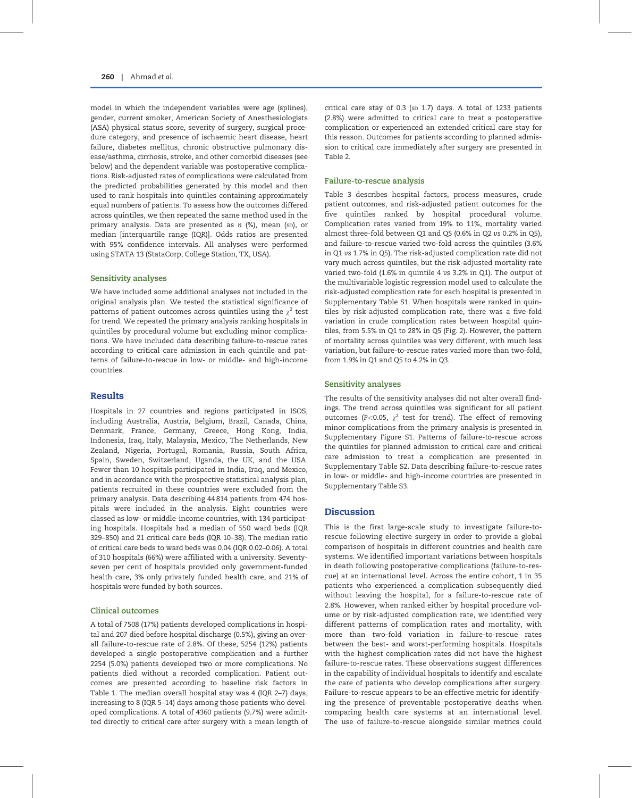model in which the independent variables were age (splines), gender, current smoker, American Society of Anesthesiologists (ASA) physical status score, severity of surgery, surgical procedure category, and presence of ischaemic heart disease, heart failure, diabetes mellitus, chronic obstructive pulmonary disease/asthma, cirrhosis, stroke, and other comorbid diseases (see below) and the dependent variable was postoperative complications. Risk-adjusted rates of complications were calculated from the predicted probabilities generated by this model and then used to rank hospitals into quintiles containing approximately equal numbers of patients. To assess how the outcomes differed across quintiles, we then repeated the same method used in the primary analysis. Data are presented as  $n$  (%), mean (sp), or median [interquartile range (IQR)]. Odds ratios are presented with 95% confidence intervals. All analyses were performed using STATA 13 (StataCorp, College Station, TX, USA).

#### Sensitivity analyses

We have included some additional analyses not included in the original analysis plan. We tested the statistical significance of patterns of patient outcomes across quintiles using the  $\chi^2$  test for trend. We repeated the primary analysis ranking hospitals in quintiles by procedural volume but excluding minor complications. We have included data describing failure-to-rescue rates according to critical care admission in each quintile and patterns of failure-to-rescue in low- or middle- and high-income countries.

### Results

Hospitals in 27 countries and regions participated in ISOS, including Australia, Austria, Belgium, Brazil, Canada, China, Denmark, France, Germany, Greece, Hong Kong, India, Indonesia, Iraq, Italy, Malaysia, Mexico, The Netherlands, New Zealand, Nigeria, Portugal, Romania, Russia, South Africa, Spain, Sweden, Switzerland, Uganda, the UK, and the USA. Fewer than 10 hospitals participated in India, Iraq, and Mexico, and in accordance with the prospective statistical analysis plan, patients recruited in these countries were excluded from the primary analysis. Data describing 44 814 patients from 474 hospitals were included in the analysis. Eight countries were classed as low- or middle-income countries, with 134 participating hospitals. Hospitals had a median of 550 ward beds (IQR 329–850) and 21 critical care beds (IQR 10–38). The median ratio of critical care beds to ward beds was 0.04 (IQR 0.02–0.06). A total of 310 hospitals (66%) were affiliated with a university. Seventyseven per cent of hospitals provided only government-funded health care, 3% only privately funded health care, and 21% of hospitals were funded by both sources.

#### Clinical outcomes

A total of 7508 (17%) patients developed complications in hospital and 207 died before hospital discharge (0.5%), giving an overall failure-to-rescue rate of 2.8%. Of these, 5254 (12%) patients developed a single postoperative complication and a further 2254 (5.0%) patients developed two or more complications. No patients died without a recorded complication. Patient outcomes are presented according to baseline risk factors in Table 1. The median overall hospital stay was 4 (IQR 2–7) days, increasing to 8 (IQR 5–14) days among those patients who developed complications. A total of 4360 patients (9.7%) were admitted directly to critical care after surgery with a mean length of critical care stay of 0.3 (sp 1.7) days. A total of 1233 patients (2.8%) were admitted to critical care to treat a postoperative complication or experienced an extended critical care stay for this reason. Outcomes for patients according to planned admission to critical care immediately after surgery are presented in Table 2.

#### Failure-to-rescue analysis

Table 3 describes hospital factors, process measures, crude patient outcomes, and risk-adjusted patient outcomes for the five quintiles ranked by hospital procedural volume. Complication rates varied from 19% to 11%, mortality varied almost three-fold between Q1 and Q5 (0.6% in Q2 vs 0.2% in Q5), and failure-to-rescue varied two-fold across the quintiles (3.6% in Q1 vs 1.7% in Q5). The risk-adjusted complication rate did not vary much across quintiles, but the risk-adjusted mortality rate varied two-fold (1.6% in quintile 4 vs 3.2% in Q1). The output of the multivariable logistic regression model used to calculate the risk-adjusted complication rate for each hospital is presented in Supplementary Table S1. When hospitals were ranked in quintiles by risk-adjusted complication rate, there was a five-fold variation in crude complication rates between hospital quintiles, from 5.5% in Q1 to 28% in Q5 (Fig. 2). However, the pattern of mortality across quintiles was very different, with much less variation, but failure-to-rescue rates varied more than two-fold, from 1.9% in Q1 and Q5 to 4.2% in Q3.

#### Sensitivity analyses

The results of the sensitivity analyses did not alter overall findings. The trend across quintiles was significant for all patient outcomes (P<0.05,  $\chi^2$  test for trend). The effect of removing minor complications from the primary analysis is presented in Supplementary Figure S1. Patterns of failure-to-rescue across the quintiles for planned admission to critical care and critical care admission to treat a complication are presented in Supplementary Table S2. Data describing failure-to-rescue rates in low- or middle- and high-income countries are presented in Supplementary Table S3.

# Discussion

This is the first large-scale study to investigate failure-torescue following elective surgery in order to provide a global comparison of hospitals in different countries and health care systems. We identified important variations between hospitals in death following postoperative complications (failure-to-rescue) at an international level. Across the entire cohort, 1 in 35 patients who experienced a complication subsequently died without leaving the hospital, for a failure-to-rescue rate of 2.8%. However, when ranked either by hospital procedure volume or by risk-adjusted complication rate, we identified very different patterns of complication rates and mortality, with more than two-fold variation in failure-to-rescue rates between the best- and worst-performing hospitals. Hospitals with the highest complication rates did not have the highest failure-to-rescue rates. These observations suggest differences in the capability of individual hospitals to identify and escalate the care of patients who develop complications after surgery. Failure-to-rescue appears to be an effective metric for identifying the presence of preventable postoperative deaths when comparing health care systems at an international level. The use of failure-to-rescue alongside similar metrics could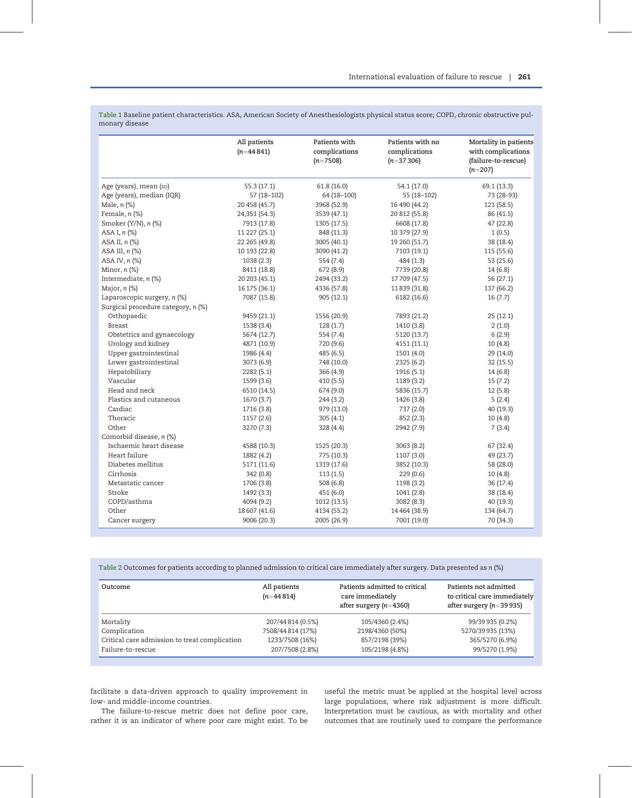Table 1 Baseline patient characteristics. ASA, American Society of Anesthesiologists physical status score; COPD, chronic obstructive pulmonary disease

|                                    | All patients<br>$(n=44841)$ | Patients with<br>complications<br>$(n=7508)$ | Patients with no<br>complications<br>$(n=37306)$ | Mortality in patients<br>with complications<br>(failure-to-rescue)<br>$(n=207)$ |
|------------------------------------|-----------------------------|----------------------------------------------|--------------------------------------------------|---------------------------------------------------------------------------------|
| Age (years), mean (sD)             | 55.3(17.1)                  | 61.8(16.0)                                   | 54.1 (17.0)                                      | 69.1 (13.3)                                                                     |
| Age (years), median (IQR)          | 57 (18-102)                 | 64 (18-100)                                  | 55 (18-102)                                      | 73 (28-93)                                                                      |
| Male, $n$ $%$                      | 20 458 (45.7)               | 3968 (52.9)                                  | 16 490 (44.2)                                    | 121 (58.5)                                                                      |
| Female, $n$ $%$                    | 24,351 (54.3)               | 3539 (47.1)                                  | 20 812 (55.8)                                    | 86 (41.5)                                                                       |
| Smoker (Y/N), n (%)                | 7913 (17.8)                 | 1305 (17.5)                                  | 6608 (17.8)                                      | 47(22.8)                                                                        |
| ASA I, n (%)                       | 11 227 (25.1)               | 848 (11.3)                                   | 10 379 (27.9)                                    | 1(0.5)                                                                          |
| ASA II, n (%)                      | 22 265 (49.8)               | 3005 (40.1)                                  | 19 260 (51.7)                                    | 38 (18.4)                                                                       |
| ASA III, $n$ $%$                   | 10 193 (22.8)               | 3090 (41.2)                                  | 7103 (19.1)                                      | 115 (55.6)                                                                      |
| ASA IV, n (%)                      | 1038 (2.3)                  | 554 (7.4)                                    | 484 (1.3)                                        | 53 (25.6)                                                                       |
| Minor, $n$ $%$                     | 8411 (18.8)                 | 672 (8.9)                                    | 7739 (20.8)                                      | 14(6.8)                                                                         |
| Intermediate, $n$ (%)              | 20 203 (45.1)               | 2494 (33.2)                                  | 17709 (47.5)                                     | 56 (27.1)                                                                       |
| Major, $n$ $%$                     | 16 175 (36.1)               | 4336 (57.8)                                  | 11839 (31.8)                                     | 137 (66.2)                                                                      |
| Laparoscopic surgery, n (%)        | 7087 (15.8)                 | 905 (12.1)                                   | 6182 (16.6)                                      | 16(7.7)                                                                         |
| Surgical procedure category, n (%) |                             |                                              |                                                  |                                                                                 |
| Orthopaedic                        | 9459 (21.1)                 | 1556 (20.9)                                  | 7893 (21.2)                                      | 25(12.1)                                                                        |
| <b>Breast</b>                      | 1538 (3.4)                  | 128(1.7)                                     | 1410 (3.8)                                       | 2(1.0)                                                                          |
| Obstetrics and gynaecology         | 5674 (12.7)                 | 554 (7.4)                                    | 5120 (13.7)                                      | 6(2.9)                                                                          |
| Urology and kidney                 | 4871 (10.9)                 | 720 (9.6)                                    | 4151 (11.1)                                      | 10(4.8)                                                                         |
| Upper gastrointestinal             | 1986 (4.4)                  | 485 (6.5)                                    | 1501 (4.0)                                       | 29 (14.0)                                                                       |
| Lower gastrointestinal             | 3073 (6.9)                  | 748 (10.0)                                   | 2325 (6.2)                                       | 32(15.5)                                                                        |
| Hepatobiliary                      | 2282 (5.1)                  | 366 (4.9)                                    | 1916 (5.1)                                       | 14(6.8)                                                                         |
| Vascular                           | 1599 (3.6)                  | 410 (5.5)                                    | 1189 (3.2)                                       | 15(7.2)                                                                         |
| Head and neck                      | 6510 (14.5)                 | 674 (9.0)                                    | 5836 (15.7)                                      | 12(5.8)                                                                         |
| Plastics and cutaneous             | 1670 (3.7)                  | 244(3.2)                                     | 1426 (3.8)                                       | 5(2.4)                                                                          |
| Cardiac                            | 1716 (3.8)                  | 979 (13.0)                                   | 737 (2.0)                                        | 40 (19.3)                                                                       |
| Thoracic                           | 1157 (2.6)                  | 305(4.1)                                     | 852 (2.3)                                        | 10(4.8)                                                                         |
| Other                              | 3270 (7.3)                  | 328 (4.4)                                    | 2942 (7.9)                                       | 7(3.4)                                                                          |
| Comorbid disease, n (%)            |                             |                                              |                                                  |                                                                                 |
| Ischaemic heart disease            | 4588 (10.3)                 | 1525 (20.3)                                  | 3063(8.2)                                        | 67 (32.4)                                                                       |
| Heart failure                      | 1882 (4.2)                  | 775 (10.3)                                   | 1107 (3.0)                                       | 49 (23.7)                                                                       |
| Diabetes mellitus                  | 5171 (11.6)                 | 1319 (17.6)                                  | 3852 (10.3)                                      | 58 (28.0)                                                                       |
| Cirrhosis                          | 342(0.8)                    | 113(1.5)                                     | 229(0.6)                                         | 10(4.8)                                                                         |
| Metastatic cancer                  | 1706 (3.8)                  | 508 (6.8)                                    | 1198 (3.2)                                       | 36(17.4)                                                                        |
| Stroke                             | 1492 (3.3)                  | 451 (6.0)                                    | 1041 (2.8)                                       | 38 (18.4)                                                                       |
| COPD/asthma                        | 4094 (9.2)                  | 1012 (13.5)                                  | 3082 (8.3)                                       | 40 (19.3)                                                                       |
| Other                              | 18 607 (41.6)               | 4134 (55.2)                                  | 14 4 64 (38.9)                                   | 134 (64.7)                                                                      |
| Cancer surgery                     | 9006 (20.3)                 | 2005 (26.9)                                  | 7001 (19.0)                                      | 70 (34.3)                                                                       |

Table 2 Outcomes for patients according to planned admission to critical care immediately after surgery. Data presented as n (%)

| Outcome                                       | All patients<br>$(n=44814)$ | Patients admitted to critical<br>care immediately<br>after surgery $(n=4360)$ | Patients not admitted<br>to critical care immediately<br>after surgery $(n=39935)$ |
|-----------------------------------------------|-----------------------------|-------------------------------------------------------------------------------|------------------------------------------------------------------------------------|
| Mortality                                     | 207/44 814 (0.5%)           | 105/4360 (2.4%)                                                               | 99/39 935 (0.2%)                                                                   |
| Complication                                  | 7508/44814 (17%)            | 2198/4360 (50%)                                                               | 5270/39935 (13%)                                                                   |
| Critical care admission to treat complication | 1233/7508 (16%)             | 857/2198 (39%)                                                                | 365/5270 (6.9%)                                                                    |
| Failure-to-rescue                             | 207/7508 (2.8%)             | 105/2198 (4.8%)                                                               | 99/5270 (1.9%)                                                                     |

facilitate a data-driven approach to quality improvement in low- and middle-income countries.

The failure-to-rescue metric does not define poor care, rather it is an indicator of where poor care might exist. To be

useful the metric must be applied at the hospital level across large populations, where risk adjustment is more difficult. Interpretation must be cautious, as with mortality and other outcomes that are routinely used to compare the performance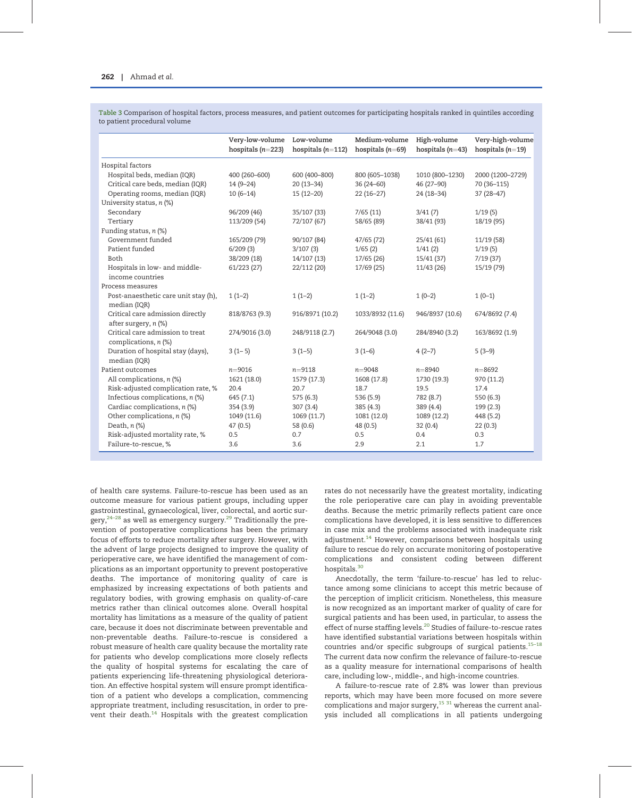Table 3 Comparison of hospital factors, process measures, and patient outcomes for participating hospitals ranked in quintiles according to patient procedural volume

|                                                          | Very-low-volume<br>hospitals $(n=223)$ | Low-volume<br>hospitals $(n=112)$ | Medium-volume<br>hospitals $(n=69)$ | High-volume<br>hospitals $(n=43)$ | Very-high-volume<br>hospitals $(n=19)$ |
|----------------------------------------------------------|----------------------------------------|-----------------------------------|-------------------------------------|-----------------------------------|----------------------------------------|
| Hospital factors                                         |                                        |                                   |                                     |                                   |                                        |
| Hospital beds, median (IQR)                              | 400 (260-600)                          | 600 (400-800)                     | 800 (605-1038)                      | 1010 (800-1230)                   | 2000 (1200-2729)                       |
| Critical care beds, median (IQR)                         | $14(9-24)$                             | $20(13-34)$                       | $36(24-60)$                         | 46 (27-90)                        | 70 (36-115)                            |
| Operating rooms, median (IQR)                            | $10(6-14)$                             | $15(12-20)$                       | $22(16-27)$                         | $24(18-34)$                       | $37(28 - 47)$                          |
| University status, n (%)                                 |                                        |                                   |                                     |                                   |                                        |
| Secondary                                                | 96/209 (46)                            | 35/107 (33)                       | 7/65(11)                            | 3/41(7)                           | 1/19(5)                                |
| Tertiary                                                 | 113/209 (54)                           | 72/107 (67)                       | 58/65 (89)                          | 38/41 (93)                        | 18/19 (95)                             |
| Funding status, $n$ (%)                                  |                                        |                                   |                                     |                                   |                                        |
| Government funded                                        | 165/209 (79)                           | 90/107 (84)                       | 47/65(72)                           | 25/41(61)                         | 11/19 (58)                             |
| Patient funded                                           | 6/209(3)                               | 3/107(3)                          | 1/65(2)                             | 1/41(2)                           | 1/19(5)                                |
| Both                                                     | 38/209 (18)                            | 14/107 (13)                       | 17/65(26)                           | 15/41 (37)                        | 7/19(37)                               |
| Hospitals in low- and middle-<br>income countries        | 61/223(27)                             | 22/112 (20)                       | 17/69(25)                           | 11/43(26)                         | 15/19 (79)                             |
| Process measures                                         |                                        |                                   |                                     |                                   |                                        |
| Post-anaesthetic care unit stay (h),<br>median (IQR)     | $1(1-2)$                               | $1(1-2)$                          | $1(1-2)$                            | $1(0-2)$                          | $1(0-1)$                               |
| Critical care admission directly<br>after surgery, n (%) | 818/8763 (9.3)                         | 916/8971 (10.2)                   | 1033/8932 (11.6)                    | 946/8937 (10.6)                   | 674/8692 (7.4)                         |
| Critical care admission to treat<br>complications, n (%) | 274/9016 (3.0)                         | 248/9118 (2.7)                    | 264/9048 (3.0)                      | 284/8940 (3.2)                    | 163/8692 (1.9)                         |
| Duration of hospital stay (days),<br>median (IQR)        | $3(1-5)$                               | $3(1-5)$                          | $3(1-6)$                            | $4(2-7)$                          | $5(3-9)$                               |
| Patient outcomes                                         | $n = 9016$                             | $n = 9118$                        | $n = 9048$                          | $n = 8940$                        | $n = 8692$                             |
| All complications, n (%)                                 | 1621 (18.0)                            | 1579 (17.3)                       | 1608 (17.8)                         | 1730 (19.3)                       | 970 (11.2)                             |
| Risk-adjusted complication rate, %                       | 20.4                                   | 20.7                              | 18.7                                | 19.5                              | 17.4                                   |
| Infectious complications, n (%)                          | 645(7.1)                               | 575 (6.3)                         | 536 (5.9)                           | 782 (8.7)                         | 550 (6.3)                              |
| Cardiac complications, n (%)                             | 354(3.9)                               | 307(3.4)                          | 385 (4.3)                           | 389 (4.4)                         | 199 (2.3)                              |
| Other complications, n (%)                               | 1049 (11.6)                            | 1069 (11.7)                       | 1081 (12.0)                         | 1089 (12.2)                       | 448 (5.2)                              |
| Death, $n$ $%$                                           | 47(0.5)                                | 58 (0.6)                          | 48 (0.5)                            | 32(0.4)                           | 22(0.3)                                |
| Risk-adjusted mortality rate, %                          | 0.5                                    | 0.7                               | 0.5                                 | 0.4                               | 0.3                                    |
| Failure-to-rescue, %                                     | 3.6                                    | 3.6                               | 2.9                                 | 2.1                               | 1.7                                    |

of health care systems. Failure-to-rescue has been used as an outcome measure for various patient groups, including upper gastrointestinal, gynaecological, liver, colorectal, and aortic surgery, $24-28$  as well as emergency surgery.<sup>29</sup> Traditionally the prevention of postoperative complications has been the primary focus of efforts to reduce mortality after surgery. However, with the advent of large projects designed to improve the quality of perioperative care, we have identified the management of complications as an important opportunity to prevent postoperative deaths. The importance of monitoring quality of care is emphasized by increasing expectations of both patients and regulatory bodies, with growing emphasis on quality-of-care metrics rather than clinical outcomes alone. Overall hospital mortality has limitations as a measure of the quality of patient care, because it does not discriminate between preventable and non-preventable deaths. Failure-to-rescue is considered a robust measure of health care quality because the mortality rate for patients who develop complications more closely reflects the quality of hospital systems for escalating the care of patients experiencing life-threatening physiological deterioration. An effective hospital system will ensure prompt identification of a patient who develops a complication, commencing appropriate treatment, including resuscitation, in order to prevent their death. $14$  Hospitals with the greatest complication

rates do not necessarily have the greatest mortality, indicating the role perioperative care can play in avoiding preventable deaths. Because the metric primarily reflects patient care once complications have developed, it is less sensitive to differences in case mix and the problems associated with inadequate risk adjustment.<sup>14</sup> However, comparisons between hospitals using failure to rescue do rely on accurate monitoring of postoperative complications and consistent coding between different hospitals.<sup>30</sup>

Anecdotally, the term 'failure-to-rescue' has led to reluctance among some clinicians to accept this metric because of the perception of implicit criticism. Nonetheless, this measure is now recognized as an important marker of quality of care for surgical patients and has been used, in particular, to assess the effect of nurse staffing levels.<sup>20</sup> Studies of failure-to-rescue rates have identified substantial variations between hospitals within countries and/or specific subgroups of surgical patients.<sup>15-18</sup> The current data now confirm the relevance of failure-to-rescue as a quality measure for international comparisons of health care, including low-, middle-, and high-income countries.

A failure-to-rescue rate of 2.8% was lower than previous reports, which may have been more focused on more severe complications and major surgery, $1531$  whereas the current analysis included all complications in all patients undergoing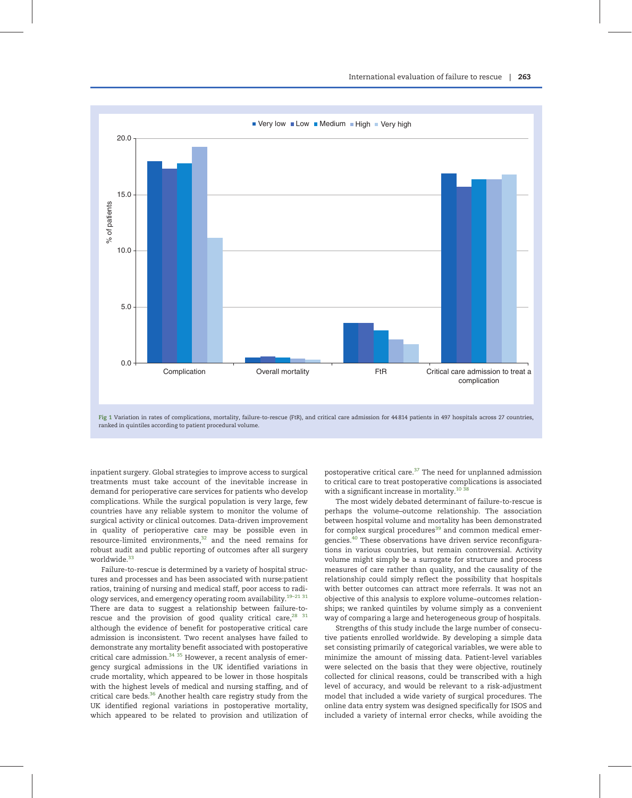

ranked in quintiles according to patient procedural volume.

inpatient surgery. Global strategies to improve access to surgical treatments must take account of the inevitable increase in demand for perioperative care services for patients who develop complications. While the surgical population is very large, few countries have any reliable system to monitor the volume of surgical activity or clinical outcomes. Data-driven improvement in quality of perioperative care may be possible even in resource-limited environments, $32$  and the need remains for robust audit and public reporting of outcomes after all surgery worldwide.<sup>33</sup>

Failure-to-rescue is determined by a variety of hospital structures and processes and has been associated with nurse:patient ratios, training of nursing and medical staff, poor access to radiology services, and emergency operating room availability. $19-21$  31 There are data to suggest a relationship between failure-torescue and the provision of good quality critical care, $28$  31 although the evidence of benefit for postoperative critical care admission is inconsistent. Two recent analyses have failed to demonstrate any mortality benefit associated with postoperative critical care admission. $34$   $35$  However, a recent analysis of emergency surgical admissions in the UK identified variations in crude mortality, which appeared to be lower in those hospitals with the highest levels of medical and nursing staffing, and of critical care beds.<sup>36</sup> Another health care registry study from the UK identified regional variations in postoperative mortality, which appeared to be related to provision and utilization of

postoperative critical care. $37$  The need for unplanned admission to critical care to treat postoperative complications is associated with a significant increase in mortality.<sup>10 38</sup>

The most widely debated determinant of failure-to-rescue is perhaps the volume–outcome relationship. The association between hospital volume and mortality has been demonstrated for complex surgical procedures $39$  and common medical emergencies.<sup>40</sup> These observations have driven service reconfigurations in various countries, but remain controversial. Activity volume might simply be a surrogate for structure and process measures of care rather than quality, and the causality of the relationship could simply reflect the possibility that hospitals with better outcomes can attract more referrals. It was not an objective of this analysis to explore volume–outcomes relationships; we ranked quintiles by volume simply as a convenient way of comparing a large and heterogeneous group of hospitals.

Strengths of this study include the large number of consecutive patients enrolled worldwide. By developing a simple data set consisting primarily of categorical variables, we were able to minimize the amount of missing data. Patient-level variables were selected on the basis that they were objective, routinely collected for clinical reasons, could be transcribed with a high level of accuracy, and would be relevant to a risk-adjustment model that included a wide variety of surgical procedures. The online data entry system was designed specifically for ISOS and included a variety of internal error checks, while avoiding the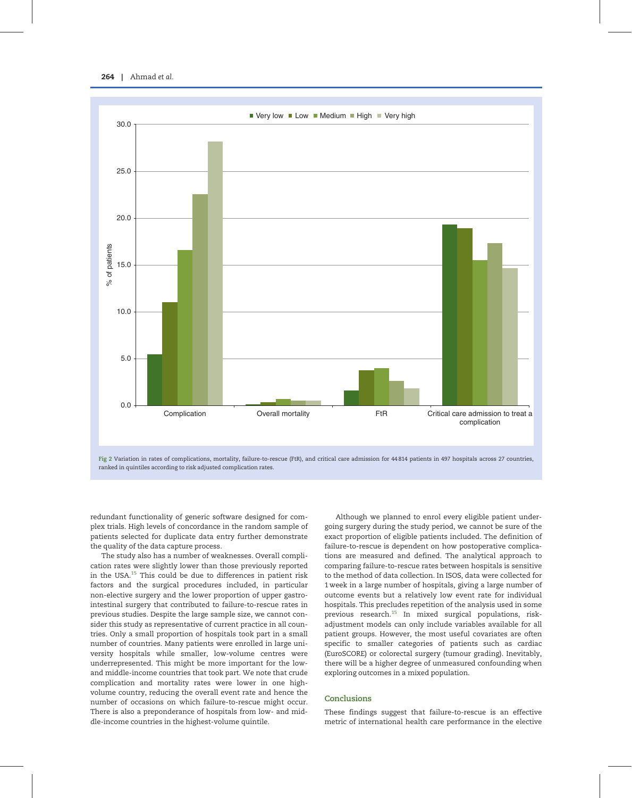

ranked in quintiles according to risk adjusted complication rates.

redundant functionality of generic software designed for complex trials. High levels of concordance in the random sample of patients selected for duplicate data entry further demonstrate the quality of the data capture process.

The study also has a number of weaknesses. Overall complication rates were slightly lower than those previously reported in the USA.<sup>15</sup> This could be due to differences in patient risk factors and the surgical procedures included, in particular non-elective surgery and the lower proportion of upper gastrointestinal surgery that contributed to failure-to-rescue rates in previous studies. Despite the large sample size, we cannot consider this study as representative of current practice in all countries. Only a small proportion of hospitals took part in a small number of countries. Many patients were enrolled in large university hospitals while smaller, low-volume centres were underrepresented. This might be more important for the lowand middle-income countries that took part. We note that crude complication and mortality rates were lower in one highvolume country, reducing the overall event rate and hence the number of occasions on which failure-to-rescue might occur. There is also a preponderance of hospitals from low- and middle-income countries in the highest-volume quintile.

Although we planned to enrol every eligible patient undergoing surgery during the study period, we cannot be sure of the exact proportion of eligible patients included. The definition of failure-to-rescue is dependent on how postoperative complications are measured and defined. The analytical approach to comparing failure-to-rescue rates between hospitals is sensitive to the method of data collection. In ISOS, data were collected for 1 week in a large number of hospitals, giving a large number of outcome events but a relatively low event rate for individual hospitals. This precludes repetition of the analysis used in some previous research.<sup>15</sup> In mixed surgical populations, riskadjustment models can only include variables available for all patient groups. However, the most useful covariates are often specific to smaller categories of patients such as cardiac (EuroSCORE) or colorectal surgery (tumour grading). Inevitably, there will be a higher degree of unmeasured confounding when exploring outcomes in a mixed population.

#### Conclusions

These findings suggest that failure-to-rescue is an effective metric of international health care performance in the elective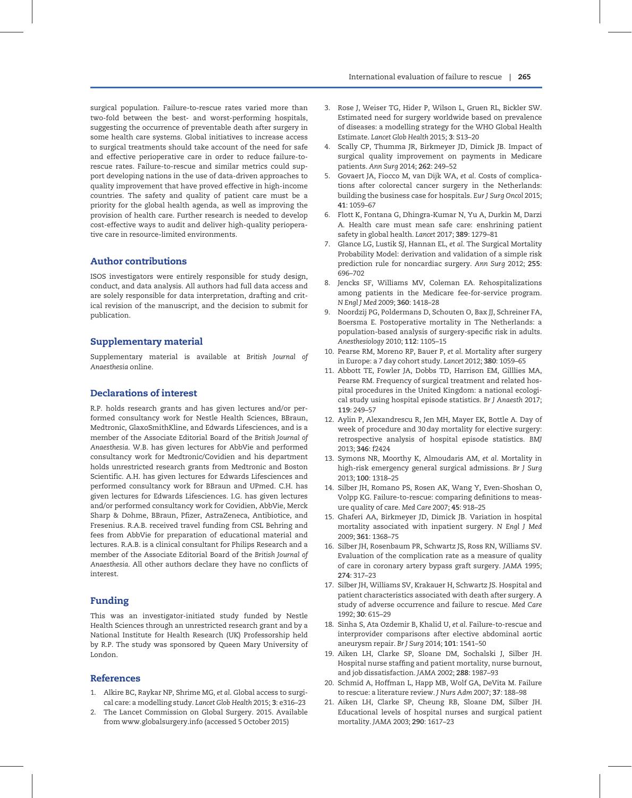surgical population. Failure-to-rescue rates varied more than two-fold between the best- and worst-performing hospitals, suggesting the occurrence of preventable death after surgery in some health care systems. Global initiatives to increase access to surgical treatments should take account of the need for safe and effective perioperative care in order to reduce failure-torescue rates. Failure-to-rescue and similar metrics could support developing nations in the use of data-driven approaches to quality improvement that have proved effective in high-income countries. The safety and quality of patient care must be a priority for the global health agenda, as well as improving the provision of health care. Further research is needed to develop cost-effective ways to audit and deliver high-quality perioperative care in resource-limited environments.

# Author contributions

ISOS investigators were entirely responsible for study design, conduct, and data analysis. All authors had full data access and are solely responsible for data interpretation, drafting and critical revision of the manuscript, and the decision to submit for publication.

# Supplementary material

Supplementary material is available at British Journal of Anaesthesia online.

# Declarations of interest

R.P. holds research grants and has given lectures and/or performed consultancy work for Nestle Health Sciences, BBraun, Medtronic, GlaxoSmithKline, and Edwards Lifesciences, and is a member of the Associate Editorial Board of the British Journal of Anaesthesia. W.B. has given lectures for AbbVie and performed consultancy work for Medtronic/Covidien and his department holds unrestricted research grants from Medtronic and Boston Scientific. A.H. has given lectures for Edwards Lifesciences and performed consultancy work for BBraun and UPmed. C.H. has given lectures for Edwards Lifesciences. I.G. has given lectures and/or performed consultancy work for Covidien, AbbVie, Merck Sharp & Dohme, BBraun, Pfizer, AstraZeneca, Antibiotice, and Fresenius. R.A.B. received travel funding from CSL Behring and fees from AbbVie for preparation of educational material and lectures. R.A.B. is a clinical consultant for Philips Research and a member of the Associate Editorial Board of the British Journal of Anaesthesia. All other authors declare they have no conflicts of interest.

# Funding

This was an investigator-initiated study funded by Nestle Health Sciences through an unrestricted research grant and by a National Institute for Health Research (UK) Professorship held by R.P. The study was sponsored by Queen Mary University of London.

# References

- 1. Alkire BC, Raykar NP, Shrime MG, et al. Global access to surgical care: a modelling study. Lancet Glob Health 2015; 3: e316–23
- 2. The Lancet Commission on Global Surgery. 2015. Available from www.globalsurgery.info (accessed 5 October 2015)
- 3. Rose J, Weiser TG, Hider P, Wilson L, Gruen RL, Bickler SW. Estimated need for surgery worldwide based on prevalence of diseases: a modelling strategy for the WHO Global Health Estimate. Lancet Glob Health 2015; 3: S13–20
- 4. Scally CP, Thumma JR, Birkmeyer JD, Dimick JB. Impact of surgical quality improvement on payments in Medicare patients. Ann Surg 2014; 262: 249–52
- 5. Govaert JA, Fiocco M, van Dijk WA, et al. Costs of complications after colorectal cancer surgery in the Netherlands: building the business case for hospitals. Eur J Surg Oncol 2015; 41: 1059–67
- 6. Flott K, Fontana G, Dhingra-Kumar N, Yu A, Durkin M, Darzi A. Health care must mean safe care: enshrining patient safety in global health. Lancet 2017; 389: 1279–81
- 7. Glance LG, Lustik SJ, Hannan EL, et al. The Surgical Mortality Probability Model: derivation and validation of a simple risk prediction rule for noncardiac surgery. Ann Surg 2012; 255: 696–702
- 8. Jencks SF, Williams MV, Coleman EA. Rehospitalizations among patients in the Medicare fee-for-service program. N Engl J Med 2009; 360: 1418–28
- 9. Noordzij PG, Poldermans D, Schouten O, Bax JJ, Schreiner FA, Boersma E. Postoperative mortality in The Netherlands: a population-based analysis of surgery-specific risk in adults. Anesthesiology 2010; 112: 1105–15
- 10. Pearse RM, Moreno RP, Bauer P, et al. Mortality after surgery in Europe: a 7 day cohort study. Lancet 2012; 380: 1059–65
- 11. Abbott TE, Fowler JA, Dobbs TD, Harrison EM, Gilllies MA, Pearse RM. Frequency of surgical treatment and related hospital procedures in the United Kingdom: a national ecological study using hospital episode statistics. Br J Anaesth 2017; 119: 249–57
- 12. Aylin P, Alexandrescu R, Jen MH, Mayer EK, Bottle A. Day of week of procedure and 30 day mortality for elective surgery: retrospective analysis of hospital episode statistics. BMJ 2013; 346: f2424
- 13. Symons NR, Moorthy K, Almoudaris AM, et al. Mortality in high-risk emergency general surgical admissions. Br J Surg 2013; 100: 1318–25
- 14. Silber JH, Romano PS, Rosen AK, Wang Y, Even-Shoshan O, Volpp KG. Failure-to-rescue: comparing definitions to measure quality of care. Med Care 2007; 45: 918–25
- 15. Ghaferi AA, Birkmeyer JD, Dimick JB. Variation in hospital mortality associated with inpatient surgery. N Engl J Med 2009; 361: 1368–75
- 16. Silber JH, Rosenbaum PR, Schwartz JS, Ross RN, Williams SV. Evaluation of the complication rate as a measure of quality of care in coronary artery bypass graft surgery. JAMA 1995; 274: 317–23
- 17. Silber JH, Williams SV, Krakauer H, Schwartz JS. Hospital and patient characteristics associated with death after surgery. A study of adverse occurrence and failure to rescue. Med Care 1992; 30: 615–29
- 18. Sinha S, Ata Ozdemir B, Khalid U, et al. Failure-to-rescue and interprovider comparisons after elective abdominal aortic aneurysm repair. Br J Surg 2014; 101: 1541–50
- 19. Aiken LH, Clarke SP, Sloane DM, Sochalski J, Silber JH. Hospital nurse staffing and patient mortality, nurse burnout, and job dissatisfaction. JAMA 2002; 288: 1987–93
- 20. Schmid A, Hoffman L, Happ MB, Wolf GA, DeVita M. Failure to rescue: a literature review. J Nurs Adm 2007; 37: 188–98
- 21. Aiken LH, Clarke SP, Cheung RB, Sloane DM, Silber JH. Educational levels of hospital nurses and surgical patient mortality. JAMA 2003; 290: 1617–23